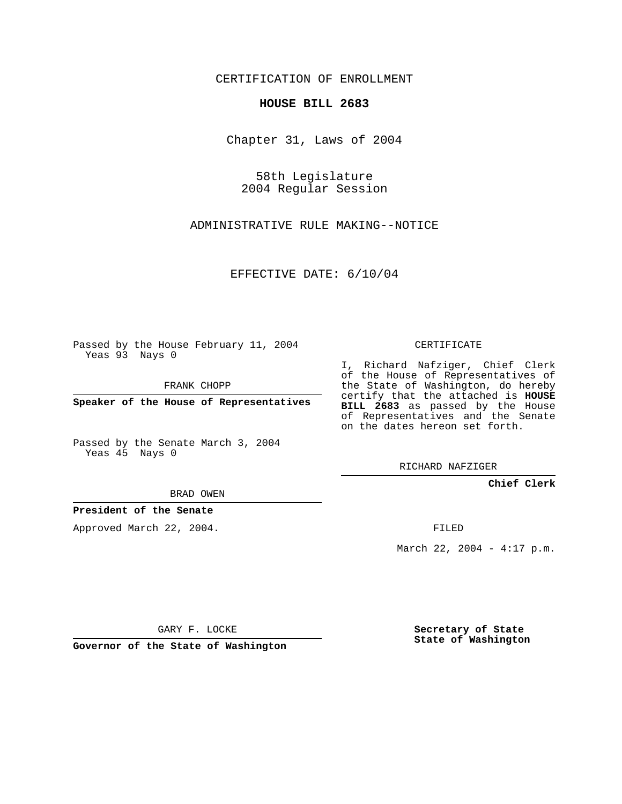CERTIFICATION OF ENROLLMENT

## **HOUSE BILL 2683**

Chapter 31, Laws of 2004

58th Legislature 2004 Regular Session

ADMINISTRATIVE RULE MAKING--NOTICE

EFFECTIVE DATE: 6/10/04

Passed by the House February 11, 2004 Yeas 93 Nays 0

FRANK CHOPP

**Speaker of the House of Representatives**

Passed by the Senate March 3, 2004 Yeas 45 Nays 0

BRAD OWEN

**President of the Senate**

Approved March 22, 2004.

CERTIFICATE

I, Richard Nafziger, Chief Clerk of the House of Representatives of the State of Washington, do hereby certify that the attached is **HOUSE BILL 2683** as passed by the House of Representatives and the Senate on the dates hereon set forth.

RICHARD NAFZIGER

**Chief Clerk**

FILED

March 22, 2004 - 4:17 p.m.

GARY F. LOCKE

**Governor of the State of Washington**

**Secretary of State State of Washington**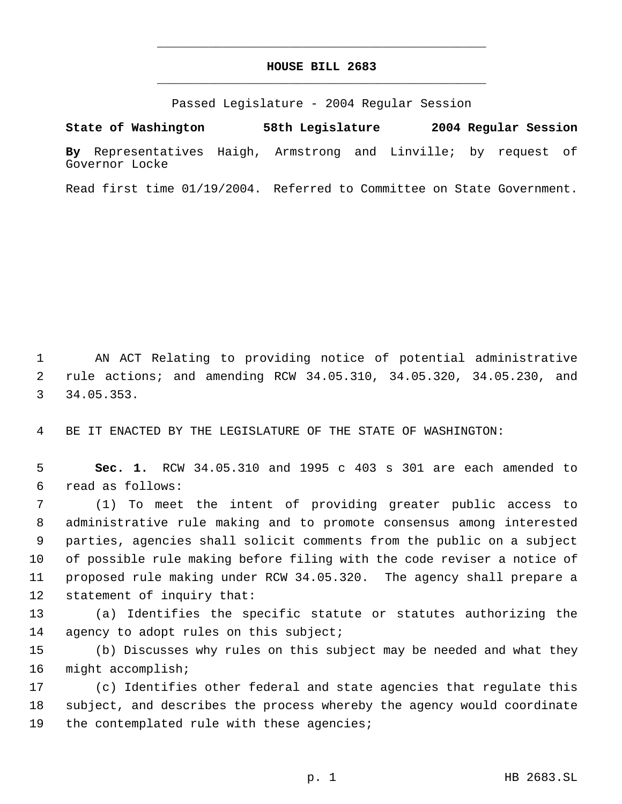## **HOUSE BILL 2683** \_\_\_\_\_\_\_\_\_\_\_\_\_\_\_\_\_\_\_\_\_\_\_\_\_\_\_\_\_\_\_\_\_\_\_\_\_\_\_\_\_\_\_\_\_

\_\_\_\_\_\_\_\_\_\_\_\_\_\_\_\_\_\_\_\_\_\_\_\_\_\_\_\_\_\_\_\_\_\_\_\_\_\_\_\_\_\_\_\_\_

Passed Legislature - 2004 Regular Session

**State of Washington 58th Legislature 2004 Regular Session By** Representatives Haigh, Armstrong and Linville; by request of Governor Locke

Read first time 01/19/2004. Referred to Committee on State Government.

 AN ACT Relating to providing notice of potential administrative rule actions; and amending RCW 34.05.310, 34.05.320, 34.05.230, and 34.05.353.

BE IT ENACTED BY THE LEGISLATURE OF THE STATE OF WASHINGTON:

 **Sec. 1.** RCW 34.05.310 and 1995 c 403 s 301 are each amended to read as follows:

 (1) To meet the intent of providing greater public access to administrative rule making and to promote consensus among interested parties, agencies shall solicit comments from the public on a subject of possible rule making before filing with the code reviser a notice of proposed rule making under RCW 34.05.320. The agency shall prepare a statement of inquiry that:

 (a) Identifies the specific statute or statutes authorizing the 14 agency to adopt rules on this subject;

 (b) Discusses why rules on this subject may be needed and what they might accomplish;

 (c) Identifies other federal and state agencies that regulate this subject, and describes the process whereby the agency would coordinate 19 the contemplated rule with these agencies;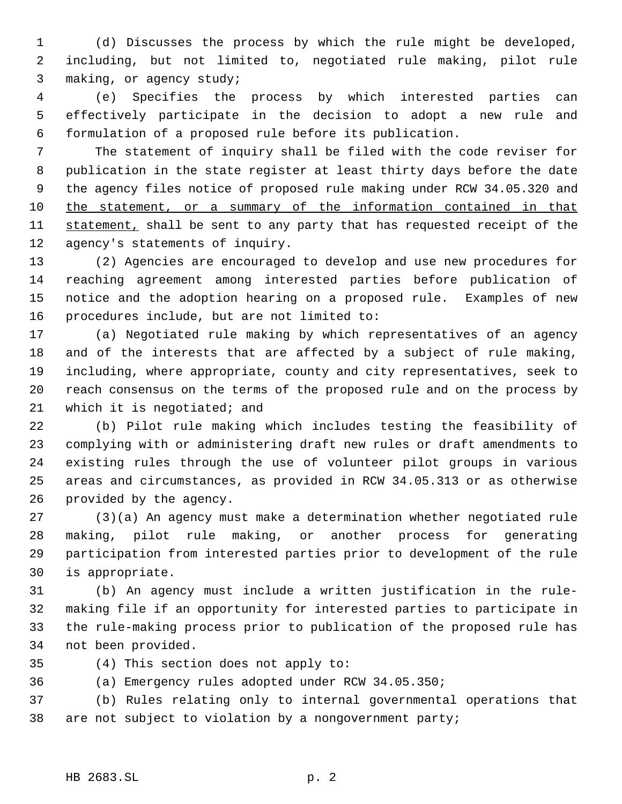(d) Discusses the process by which the rule might be developed, including, but not limited to, negotiated rule making, pilot rule making, or agency study;

 (e) Specifies the process by which interested parties can effectively participate in the decision to adopt a new rule and formulation of a proposed rule before its publication.

 The statement of inquiry shall be filed with the code reviser for publication in the state register at least thirty days before the date the agency files notice of proposed rule making under RCW 34.05.320 and 10 the statement, or a summary of the information contained in that 11 statement, shall be sent to any party that has requested receipt of the agency's statements of inquiry.

 (2) Agencies are encouraged to develop and use new procedures for reaching agreement among interested parties before publication of notice and the adoption hearing on a proposed rule. Examples of new procedures include, but are not limited to:

 (a) Negotiated rule making by which representatives of an agency and of the interests that are affected by a subject of rule making, including, where appropriate, county and city representatives, seek to reach consensus on the terms of the proposed rule and on the process by 21 which it is negotiated; and

 (b) Pilot rule making which includes testing the feasibility of complying with or administering draft new rules or draft amendments to existing rules through the use of volunteer pilot groups in various areas and circumstances, as provided in RCW 34.05.313 or as otherwise provided by the agency.

 (3)(a) An agency must make a determination whether negotiated rule making, pilot rule making, or another process for generating participation from interested parties prior to development of the rule is appropriate.

 (b) An agency must include a written justification in the rule- making file if an opportunity for interested parties to participate in the rule-making process prior to publication of the proposed rule has not been provided.

(4) This section does not apply to:

(a) Emergency rules adopted under RCW 34.05.350;

 (b) Rules relating only to internal governmental operations that are not subject to violation by a nongovernment party;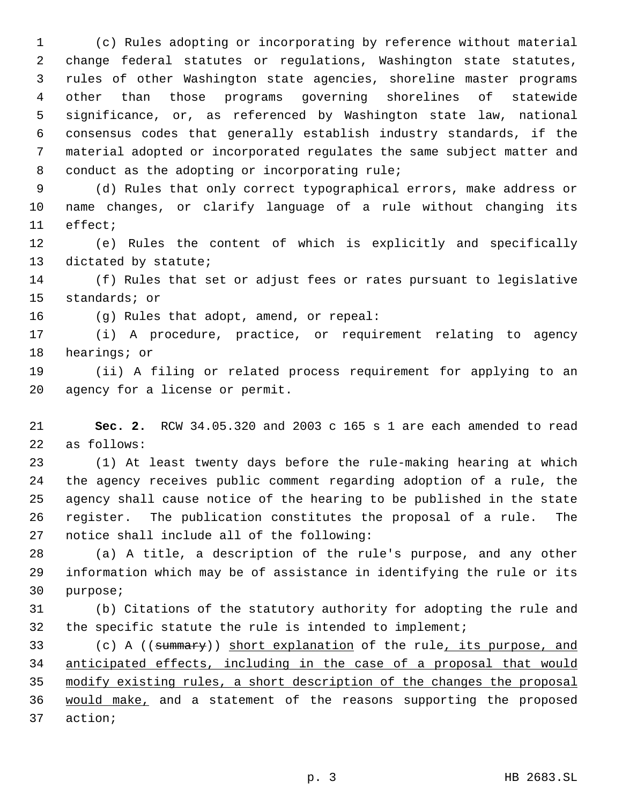(c) Rules adopting or incorporating by reference without material change federal statutes or regulations, Washington state statutes, rules of other Washington state agencies, shoreline master programs other than those programs governing shorelines of statewide significance, or, as referenced by Washington state law, national consensus codes that generally establish industry standards, if the material adopted or incorporated regulates the same subject matter and conduct as the adopting or incorporating rule;

 (d) Rules that only correct typographical errors, make address or name changes, or clarify language of a rule without changing its effect;

 (e) Rules the content of which is explicitly and specifically dictated by statute;

 (f) Rules that set or adjust fees or rates pursuant to legislative standards; or

(g) Rules that adopt, amend, or repeal:

 (i) A procedure, practice, or requirement relating to agency hearings; or

 (ii) A filing or related process requirement for applying to an agency for a license or permit.

 **Sec. 2.** RCW 34.05.320 and 2003 c 165 s 1 are each amended to read as follows:

 (1) At least twenty days before the rule-making hearing at which the agency receives public comment regarding adoption of a rule, the agency shall cause notice of the hearing to be published in the state register. The publication constitutes the proposal of a rule. The notice shall include all of the following:

 (a) A title, a description of the rule's purpose, and any other information which may be of assistance in identifying the rule or its purpose;

 (b) Citations of the statutory authority for adopting the rule and the specific statute the rule is intended to implement;

33 (c) A ((summary)) short explanation of the rule, its purpose, and anticipated effects, including in the case of a proposal that would modify existing rules, a short description of the changes the proposal 36 would make, and a statement of the reasons supporting the proposed action;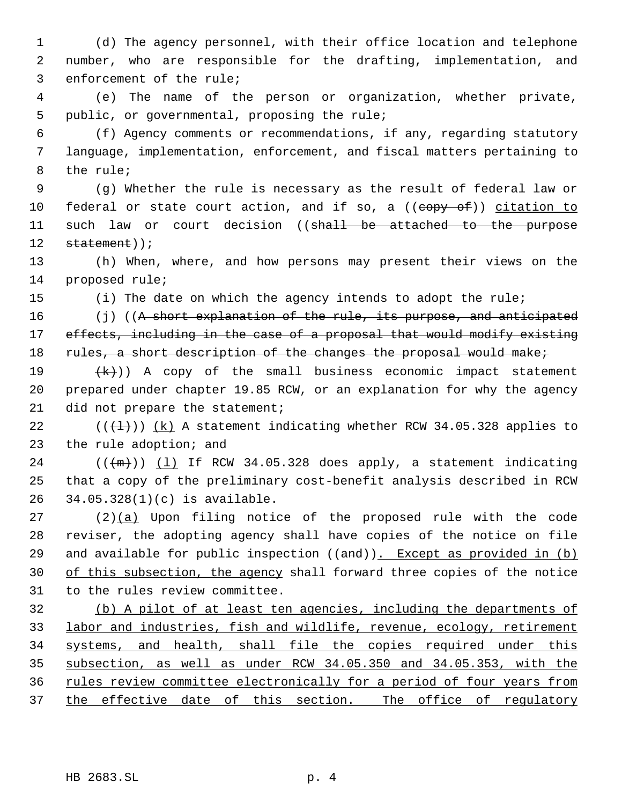(d) The agency personnel, with their office location and telephone number, who are responsible for the drafting, implementation, and enforcement of the rule;

 (e) The name of the person or organization, whether private, public, or governmental, proposing the rule;

 (f) Agency comments or recommendations, if any, regarding statutory language, implementation, enforcement, and fiscal matters pertaining to the rule;

 (g) Whether the rule is necessary as the result of federal law or 10 federal or state court action, and if so, a ((copy of)) citation to 11 such law or court decision ((shall be attached to the purpose 12 statement));

 (h) When, where, and how persons may present their views on the proposed rule;

(i) The date on which the agency intends to adopt the rule;

16 (j) ((A short explanation of the rule, its purpose, and anticipated 17 effects, including in the case of a proposal that would modify existing 18 rules, a short description of the changes the proposal would make;

19  $(k)$ ) A copy of the small business economic impact statement prepared under chapter 19.85 RCW, or an explanation for why the agency 21 did not prepare the statement;

22  $((+1))$   $(k)$  A statement indicating whether RCW 34.05.328 applies to the rule adoption; and

 (( $\{(\text{m})\}$ )  $(1)$  If RCW 34.05.328 does apply, a statement indicating that a copy of the preliminary cost-benefit analysis described in RCW 34.05.328(1)(c) is available.

 (2)(a) Upon filing notice of the proposed rule with the code reviser, the adopting agency shall have copies of the notice on file 29 and available for public inspection  $((and))$ . Except as provided in  $(b)$ 30 of this subsection, the agency shall forward three copies of the notice to the rules review committee.

 (b) A pilot of at least ten agencies, including the departments of labor and industries, fish and wildlife, revenue, ecology, retirement systems, and health, shall file the copies required under this subsection, as well as under RCW 34.05.350 and 34.05.353, with the rules review committee electronically for a period of four years from 37 the effective date of this section. The office of regulatory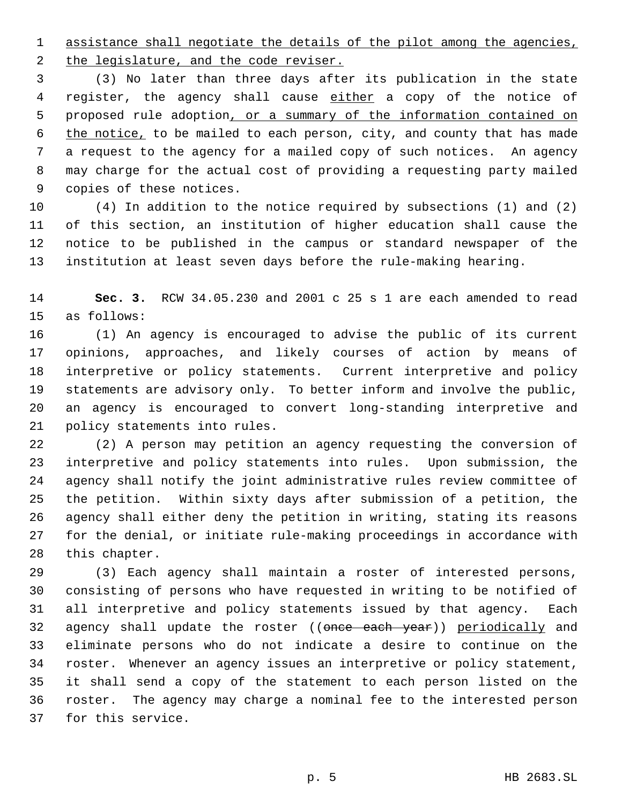1 assistance shall negotiate the details of the pilot among the agencies,

2 the legislature, and the code reviser. (3) No later than three days after its publication in the state 4 register, the agency shall cause either a copy of the notice of

 proposed rule adoption, or a summary of the information contained on the notice, to be mailed to each person, city, and county that has made a request to the agency for a mailed copy of such notices. An agency may charge for the actual cost of providing a requesting party mailed copies of these notices.

 (4) In addition to the notice required by subsections (1) and (2) of this section, an institution of higher education shall cause the notice to be published in the campus or standard newspaper of the institution at least seven days before the rule-making hearing.

 **Sec. 3.** RCW 34.05.230 and 2001 c 25 s 1 are each amended to read as follows:

 (1) An agency is encouraged to advise the public of its current opinions, approaches, and likely courses of action by means of interpretive or policy statements. Current interpretive and policy statements are advisory only. To better inform and involve the public, an agency is encouraged to convert long-standing interpretive and policy statements into rules.

 (2) A person may petition an agency requesting the conversion of interpretive and policy statements into rules. Upon submission, the agency shall notify the joint administrative rules review committee of the petition. Within sixty days after submission of a petition, the agency shall either deny the petition in writing, stating its reasons for the denial, or initiate rule-making proceedings in accordance with this chapter.

 (3) Each agency shall maintain a roster of interested persons, consisting of persons who have requested in writing to be notified of all interpretive and policy statements issued by that agency. Each 32 agency shall update the roster ((once each year)) periodically and eliminate persons who do not indicate a desire to continue on the roster. Whenever an agency issues an interpretive or policy statement, it shall send a copy of the statement to each person listed on the roster. The agency may charge a nominal fee to the interested person for this service.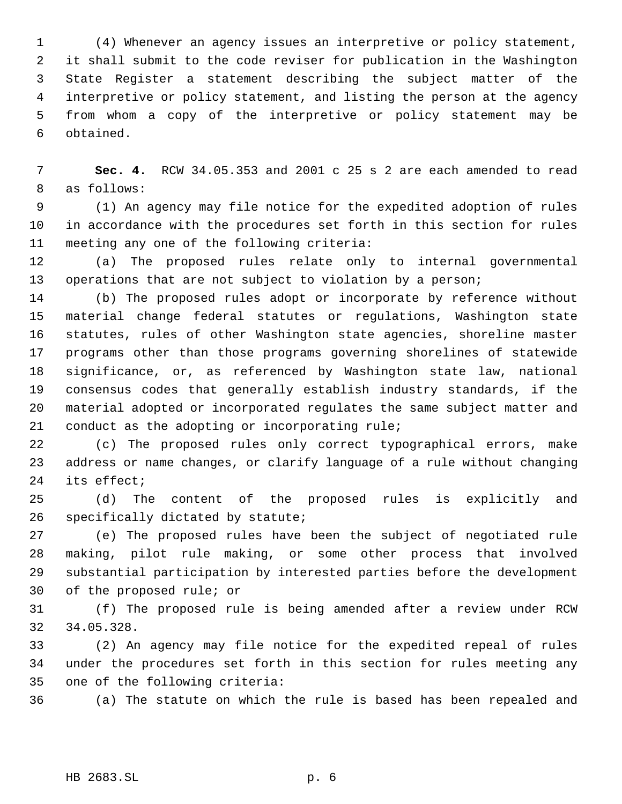(4) Whenever an agency issues an interpretive or policy statement, it shall submit to the code reviser for publication in the Washington State Register a statement describing the subject matter of the interpretive or policy statement, and listing the person at the agency from whom a copy of the interpretive or policy statement may be obtained.

 **Sec. 4.** RCW 34.05.353 and 2001 c 25 s 2 are each amended to read as follows:

 (1) An agency may file notice for the expedited adoption of rules in accordance with the procedures set forth in this section for rules meeting any one of the following criteria:

 (a) The proposed rules relate only to internal governmental 13 operations that are not subject to violation by a person;

 (b) The proposed rules adopt or incorporate by reference without material change federal statutes or regulations, Washington state statutes, rules of other Washington state agencies, shoreline master programs other than those programs governing shorelines of statewide significance, or, as referenced by Washington state law, national consensus codes that generally establish industry standards, if the material adopted or incorporated regulates the same subject matter and conduct as the adopting or incorporating rule;

 (c) The proposed rules only correct typographical errors, make address or name changes, or clarify language of a rule without changing its effect;

 (d) The content of the proposed rules is explicitly and specifically dictated by statute;

 (e) The proposed rules have been the subject of negotiated rule making, pilot rule making, or some other process that involved substantial participation by interested parties before the development of the proposed rule; or

 (f) The proposed rule is being amended after a review under RCW 34.05.328.

 (2) An agency may file notice for the expedited repeal of rules under the procedures set forth in this section for rules meeting any one of the following criteria:

(a) The statute on which the rule is based has been repealed and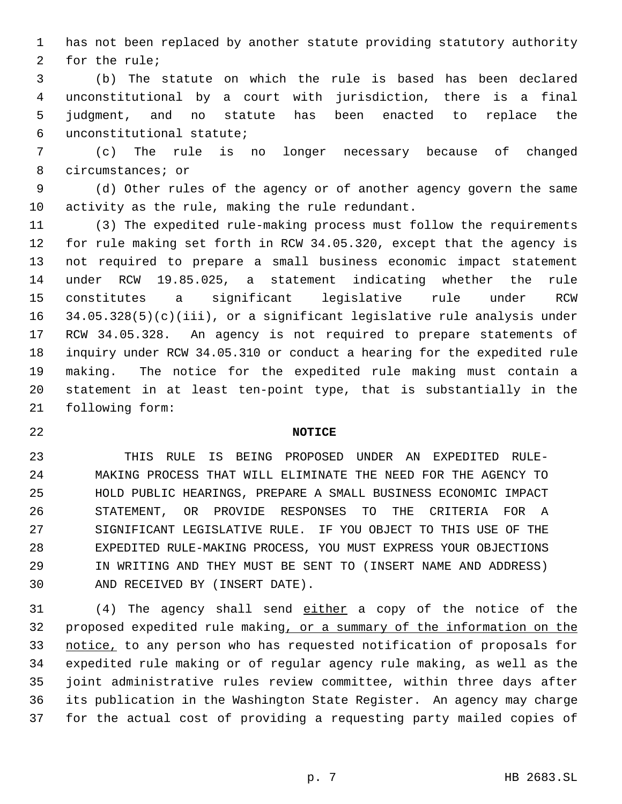has not been replaced by another statute providing statutory authority for the rule;

 (b) The statute on which the rule is based has been declared unconstitutional by a court with jurisdiction, there is a final judgment, and no statute has been enacted to replace the unconstitutional statute;

 (c) The rule is no longer necessary because of changed circumstances; or

 (d) Other rules of the agency or of another agency govern the same activity as the rule, making the rule redundant.

 (3) The expedited rule-making process must follow the requirements for rule making set forth in RCW 34.05.320, except that the agency is not required to prepare a small business economic impact statement under RCW 19.85.025, a statement indicating whether the rule constitutes a significant legislative rule under RCW 34.05.328(5)(c)(iii), or a significant legislative rule analysis under RCW 34.05.328. An agency is not required to prepare statements of inquiry under RCW 34.05.310 or conduct a hearing for the expedited rule making. The notice for the expedited rule making must contain a statement in at least ten-point type, that is substantially in the following form:

## **NOTICE**

 THIS RULE IS BEING PROPOSED UNDER AN EXPEDITED RULE- MAKING PROCESS THAT WILL ELIMINATE THE NEED FOR THE AGENCY TO HOLD PUBLIC HEARINGS, PREPARE A SMALL BUSINESS ECONOMIC IMPACT STATEMENT, OR PROVIDE RESPONSES TO THE CRITERIA FOR A SIGNIFICANT LEGISLATIVE RULE. IF YOU OBJECT TO THIS USE OF THE EXPEDITED RULE-MAKING PROCESS, YOU MUST EXPRESS YOUR OBJECTIONS IN WRITING AND THEY MUST BE SENT TO (INSERT NAME AND ADDRESS) AND RECEIVED BY (INSERT DATE).

 (4) The agency shall send either a copy of the notice of the proposed expedited rule making, or a summary of the information on the notice, to any person who has requested notification of proposals for expedited rule making or of regular agency rule making, as well as the joint administrative rules review committee, within three days after its publication in the Washington State Register. An agency may charge for the actual cost of providing a requesting party mailed copies of